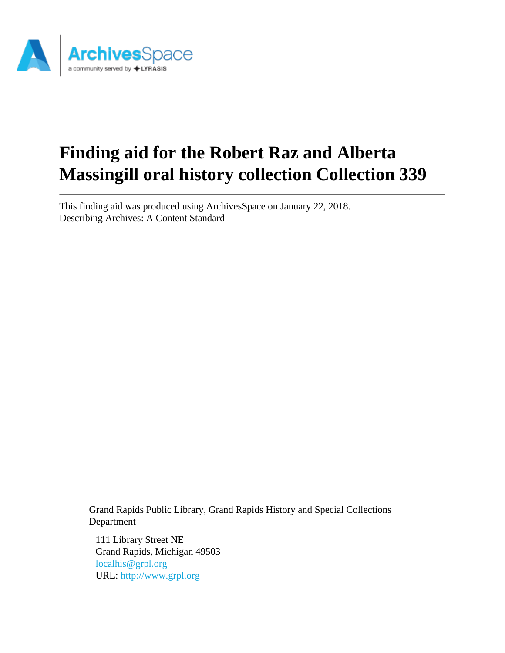

# **Finding aid for the Robert Raz and Alberta Massingill oral history collection Collection 339**

This finding aid was produced using ArchivesSpace on January 22, 2018. Describing Archives: A Content Standard

> Grand Rapids Public Library, Grand Rapids History and Special Collections Department

111 Library Street NE Grand Rapids, Michigan 49503 [localhis@grpl.org](mailto:localhis@grpl.org) URL:<http://www.grpl.org>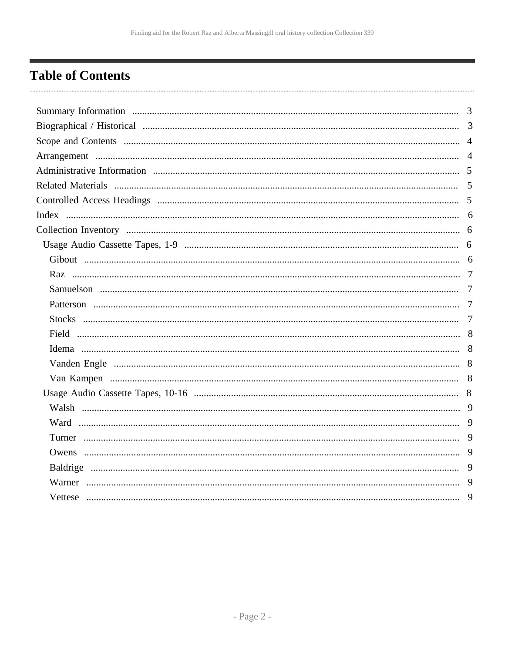## <span id="page-1-0"></span>**Table of Contents**

| 9 |
|---|
|   |
| 9 |
| 9 |
| 9 |
| 9 |
|   |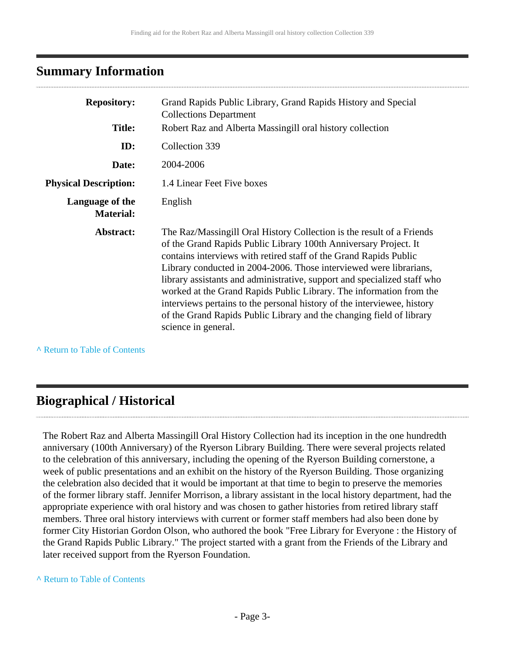## <span id="page-2-0"></span>**Summary Information**

| <b>Repository:</b>                  | Grand Rapids Public Library, Grand Rapids History and Special<br><b>Collections Department</b>                                                                                                                                                                                                                                                                                                                                                                                                                                                                                                                    |
|-------------------------------------|-------------------------------------------------------------------------------------------------------------------------------------------------------------------------------------------------------------------------------------------------------------------------------------------------------------------------------------------------------------------------------------------------------------------------------------------------------------------------------------------------------------------------------------------------------------------------------------------------------------------|
| <b>Title:</b>                       | Robert Raz and Alberta Massingill oral history collection                                                                                                                                                                                                                                                                                                                                                                                                                                                                                                                                                         |
| ID:                                 | Collection 339                                                                                                                                                                                                                                                                                                                                                                                                                                                                                                                                                                                                    |
| Date:                               | 2004-2006                                                                                                                                                                                                                                                                                                                                                                                                                                                                                                                                                                                                         |
| <b>Physical Description:</b>        | 1.4 Linear Feet Five boxes                                                                                                                                                                                                                                                                                                                                                                                                                                                                                                                                                                                        |
| Language of the<br><b>Material:</b> | English                                                                                                                                                                                                                                                                                                                                                                                                                                                                                                                                                                                                           |
| Abstract:                           | The Raz/Massingill Oral History Collection is the result of a Friends<br>of the Grand Rapids Public Library 100th Anniversary Project. It<br>contains interviews with retired staff of the Grand Rapids Public<br>Library conducted in 2004-2006. Those interviewed were librarians,<br>library assistants and administrative, support and specialized staff who<br>worked at the Grand Rapids Public Library. The information from the<br>interviews pertains to the personal history of the interviewee, history<br>of the Grand Rapids Public Library and the changing field of library<br>science in general. |

**^** [Return to Table of Contents](#page-1-0)

## <span id="page-2-1"></span>**Biographical / Historical**

The Robert Raz and Alberta Massingill Oral History Collection had its inception in the one hundredth anniversary (100th Anniversary) of the Ryerson Library Building. There were several projects related to the celebration of this anniversary, including the opening of the Ryerson Building cornerstone, a week of public presentations and an exhibit on the history of the Ryerson Building. Those organizing the celebration also decided that it would be important at that time to begin to preserve the memories of the former library staff. Jennifer Morrison, a library assistant in the local history department, had the appropriate experience with oral history and was chosen to gather histories from retired library staff members. Three oral history interviews with current or former staff members had also been done by former City Historian Gordon Olson, who authored the book "Free Library for Everyone : the History of the Grand Rapids Public Library." The project started with a grant from the Friends of the Library and later received support from the Ryerson Foundation.

#### **^** [Return to Table of Contents](#page-1-0)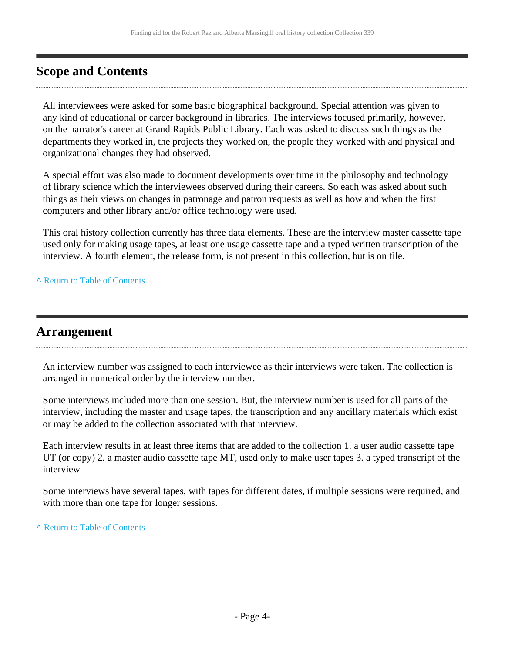## <span id="page-3-0"></span>**Scope and Contents**

All interviewees were asked for some basic biographical background. Special attention was given to any kind of educational or career background in libraries. The interviews focused primarily, however, on the narrator's career at Grand Rapids Public Library. Each was asked to discuss such things as the departments they worked in, the projects they worked on, the people they worked with and physical and organizational changes they had observed.

A special effort was also made to document developments over time in the philosophy and technology of library science which the interviewees observed during their careers. So each was asked about such things as their views on changes in patronage and patron requests as well as how and when the first computers and other library and/or office technology were used.

This oral history collection currently has three data elements. These are the interview master cassette tape used only for making usage tapes, at least one usage cassette tape and a typed written transcription of the interview. A fourth element, the release form, is not present in this collection, but is on file.

**^** [Return to Table of Contents](#page-1-0)

## <span id="page-3-1"></span>**Arrangement**

An interview number was assigned to each interviewee as their interviews were taken. The collection is arranged in numerical order by the interview number.

Some interviews included more than one session. But, the interview number is used for all parts of the interview, including the master and usage tapes, the transcription and any ancillary materials which exist or may be added to the collection associated with that interview.

Each interview results in at least three items that are added to the collection 1. a user audio cassette tape UT (or copy) 2. a master audio cassette tape MT, used only to make user tapes 3. a typed transcript of the interview

Some interviews have several tapes, with tapes for different dates, if multiple sessions were required, and with more than one tape for longer sessions.

**^** [Return to Table of Contents](#page-1-0)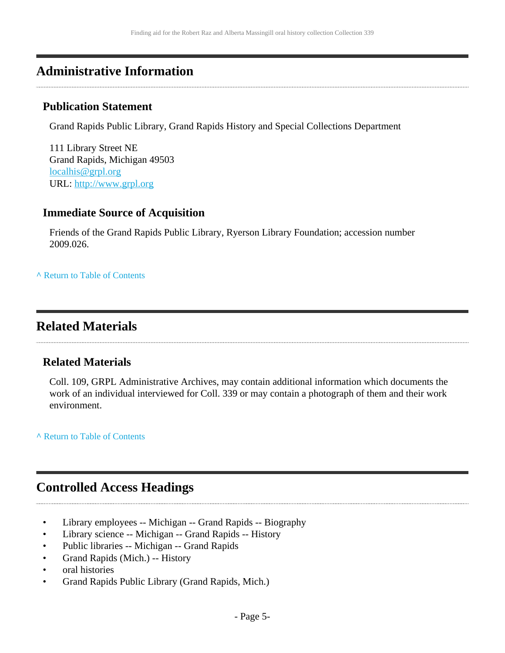## <span id="page-4-0"></span>**Administrative Information**

## **Publication Statement**

Grand Rapids Public Library, Grand Rapids History and Special Collections Department

111 Library Street NE Grand Rapids, Michigan 49503 [localhis@grpl.org](mailto:localhis@grpl.org) URL:<http://www.grpl.org>

## **Immediate Source of Acquisition**

Friends of the Grand Rapids Public Library, Ryerson Library Foundation; accession number 2009.026.

**^** [Return to Table of Contents](#page-1-0)

## <span id="page-4-1"></span>**Related Materials**

## **Related Materials**

Coll. 109, GRPL Administrative Archives, may contain additional information which documents the work of an individual interviewed for Coll. 339 or may contain a photograph of them and their work environment.

**^** [Return to Table of Contents](#page-1-0)

## <span id="page-4-2"></span>**Controlled Access Headings**

- Library employees -- Michigan -- Grand Rapids -- Biography
- Library science -- Michigan -- Grand Rapids -- History
- Public libraries -- Michigan -- Grand Rapids
- Grand Rapids (Mich.) -- History
- oral histories
- Grand Rapids Public Library (Grand Rapids, Mich.)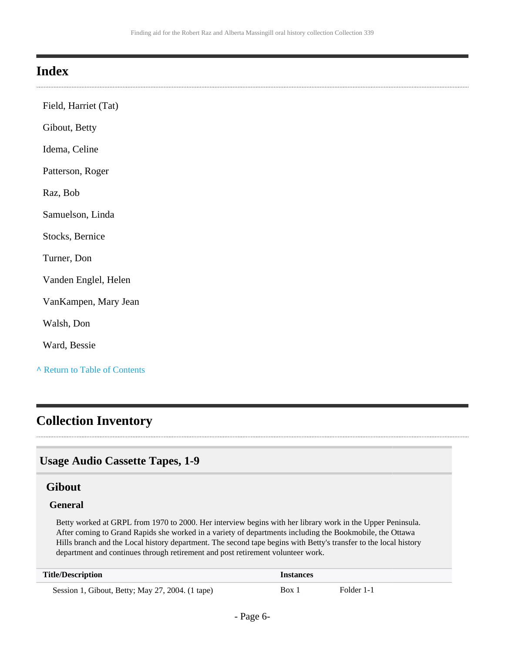## <span id="page-5-0"></span>**Index**

| Field, Harriet (Tat)          |
|-------------------------------|
| Gibout, Betty                 |
| Idema, Celine                 |
| Patterson, Roger              |
| Raz, Bob                      |
| Samuelson, Linda              |
| Stocks, Bernice               |
| Turner, Don                   |
| Vanden Englel, Helen          |
| VanKampen, Mary Jean          |
| Walsh, Don                    |
| Ward, Bessie                  |
| A Return to Table of Contents |

## <span id="page-5-1"></span>**Collection Inventory**

## <span id="page-5-2"></span>**Usage Audio Cassette Tapes, 1-9**

### <span id="page-5-3"></span>**Gibout**

#### **General**

Betty worked at GRPL from 1970 to 2000. Her interview begins with her library work in the Upper Peninsula. After coming to Grand Rapids she worked in a variety of departments including the Bookmobile, the Ottawa Hills branch and the Local history department. The second tape begins with Betty's transfer to the local history department and continues through retirement and post retirement volunteer work.

| <b>Title/Description</b>                         | <b>Instances</b> |            |
|--------------------------------------------------|------------------|------------|
| Session 1, Gibout, Betty; May 27, 2004. (1 tape) | Box 1            | Folder 1-1 |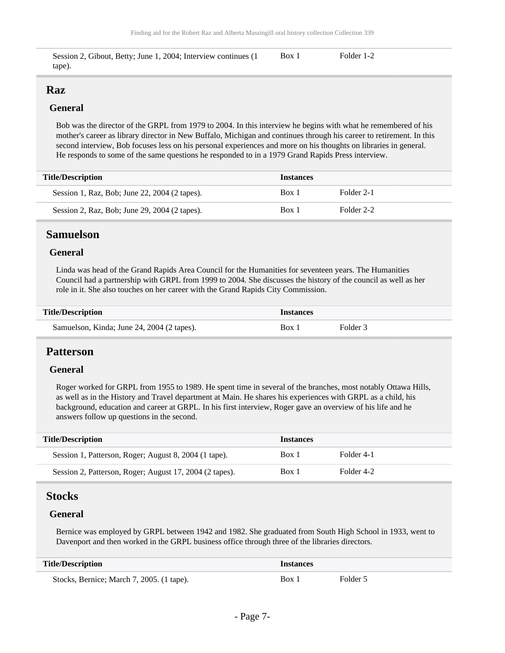Session 2, Gibout, Betty; June 1, 2004; Interview continues (1 tape). Box 1 Folder 1-2

### <span id="page-6-0"></span>**Raz**

#### **General**

Bob was the director of the GRPL from 1979 to 2004. In this interview he begins with what he remembered of his mother's career as library director in New Buffalo, Michigan and continues through his career to retirement. In this second interview, Bob focuses less on his personal experiences and more on his thoughts on libraries in general. He responds to some of the same questions he responded to in a 1979 Grand Rapids Press interview.

| <b>Title/Description</b>                      | <b>Instances</b> |            |
|-----------------------------------------------|------------------|------------|
| Session 1, Raz, Bob; June 22, 2004 (2 tapes). | Box 1            | Folder 2-1 |
| Session 2, Raz, Bob; June 29, 2004 (2 tapes). | Box 1            | Folder 2-2 |

### <span id="page-6-1"></span>**Samuelson**

#### **General**

Linda was head of the Grand Rapids Area Council for the Humanities for seventeen years. The Humanities Council had a partnership with GRPL from 1999 to 2004. She discusses the history of the council as well as her role in it. She also touches on her career with the Grand Rapids City Commission.

| <b>Title/Description</b>                   | <i><u><b>Instances</b></u></i> |          |
|--------------------------------------------|--------------------------------|----------|
| Samuelson, Kinda; June 24, 2004 (2 tapes). | Box 1                          | Folder 3 |

#### <span id="page-6-2"></span>**Patterson**

#### **General**

Roger worked for GRPL from 1955 to 1989. He spent time in several of the branches, most notably Ottawa Hills, as well as in the History and Travel department at Main. He shares his experiences with GRPL as a child, his background, education and career at GRPL. In his first interview, Roger gave an overview of his life and he answers follow up questions in the second.

| <b>Title/Description</b>                                | <b>Instances</b> |            |
|---------------------------------------------------------|------------------|------------|
| Session 1, Patterson, Roger; August 8, 2004 (1 tape).   | Box 1            | Folder 4-1 |
| Session 2, Patterson, Roger; August 17, 2004 (2 tapes). | Box 1            | Folder 4-2 |

### <span id="page-6-3"></span>**Stocks**

#### **General**

Bernice was employed by GRPL between 1942 and 1982. She graduated from South High School in 1933, went to Davenport and then worked in the GRPL business office through three of the libraries directors.

| <b>Title/Description</b><br>Instances     |       |          |
|-------------------------------------------|-------|----------|
| Stocks, Bernice; March 7, 2005. (1 tape). | Box 1 | Folder 5 |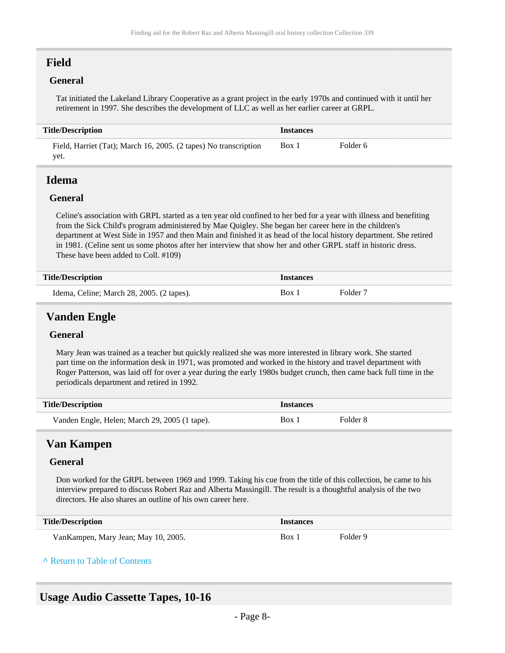## <span id="page-7-0"></span>**Field**

#### **General**

Tat initiated the Lakeland Library Cooperative as a grant project in the early 1970s and continued with it until her retirement in 1997. She describes the development of LLC as well as her earlier career at GRPL.

#### **Title/Description Instances** Field, Harriet (Tat); March 16, 2005. (2 tapes) No transcription yet. Box 1 Folder 6

### <span id="page-7-1"></span>**Idema**

#### **General**

Celine's association with GRPL started as a ten year old confined to her bed for a year with illness and benefiting from the Sick Child's program administered by Mae Quigley. She began her career here in the children's department at West Side in 1957 and then Main and finished it as head of the local history department. She retired in 1981. (Celine sent us some photos after her interview that show her and other GRPL staff in historic dress. These have been added to Coll. #109)

| <b>Title/Description</b>                  | Instances        |                     |
|-------------------------------------------|------------------|---------------------|
| Idema, Celine; March 28, 2005. (2 tapes). | Box <sub>1</sub> | Folder <sub>7</sub> |

## <span id="page-7-2"></span>**Vanden Engle**

#### **General**

Mary Jean was trained as a teacher but quickly realized she was more interested in library work. She started part time on the information desk in 1971, was promoted and worked in the history and travel department with Roger Patterson, was laid off for over a year during the early 1980s budget crunch, then came back full time in the periodicals department and retired in 1992.

| <b>Title/Description</b>                      | <b>Instances</b> |          |
|-----------------------------------------------|------------------|----------|
| Vanden Engle, Helen; March 29, 2005 (1 tape). | Box 1            | Folder 8 |

## <span id="page-7-3"></span>**Van Kampen**

#### **General**

Don worked for the GRPL between 1969 and 1999. Taking his cue from the title of this collection, he came to his interview prepared to discuss Robert Raz and Alberta Massingill. The result is a thoughtful analysis of the two directors. He also shares an outline of his own career here.

| <b>Title/Description</b>            | Instances |          |
|-------------------------------------|-----------|----------|
| VanKampen, Mary Jean; May 10, 2005. | Box.      | Folder 9 |

#### **^** [Return to Table of Contents](#page-1-0)

### <span id="page-7-4"></span>**Usage Audio Cassette Tapes, 10-16**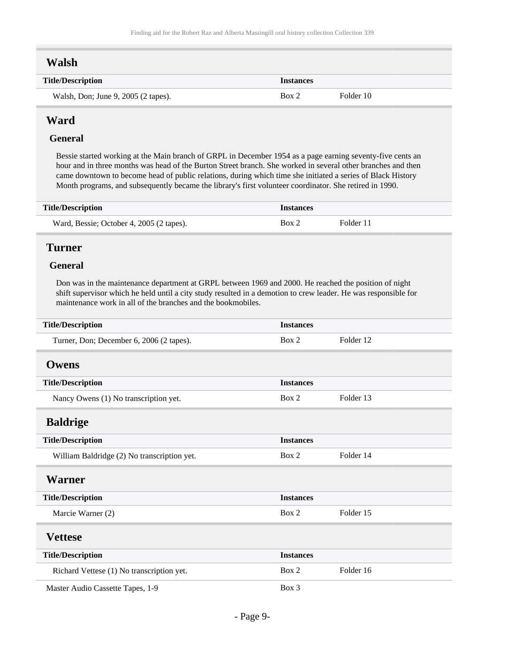## <span id="page-8-0"></span>**Walsh**

| <b>Title/Description</b>            | <i><u><b>Instances</b></u></i> |           |
|-------------------------------------|--------------------------------|-----------|
| Walsh, Don; June 9, 2005 (2 tapes). | Box 2                          | Folder 10 |

## <span id="page-8-1"></span>**Ward**

#### **General**

Bessie started working at the Main branch of GRPL in December 1954 as a page earning seventy-five cents an hour and in three months was head of the Burton Street branch. She worked in several other branches and then came downtown to become head of public relations, during which time she initiated a series of Black History Month programs, and subsequently became the library's first volunteer coordinator. She retired in 1990.

| <b>Title/Description</b>                 | <i><u><b>Instances</b></u></i> |           |
|------------------------------------------|--------------------------------|-----------|
| Ward, Bessie; October 4, 2005 (2 tapes). | Box 2                          | Folder 11 |

### <span id="page-8-2"></span>**Turner**

#### **General**

Don was in the maintenance department at GRPL between 1969 and 2000. He reached the position of night shift supervisor which he held until a city study resulted in a demotion to crew leader. He was responsible for maintenance work in all of the branches and the bookmobiles.

<span id="page-8-6"></span><span id="page-8-5"></span><span id="page-8-4"></span><span id="page-8-3"></span>

| <b>Title/Description</b>                    | <b>Instances</b> |           |
|---------------------------------------------|------------------|-----------|
| Turner, Don; December 6, 2006 (2 tapes).    | Box 2            | Folder 12 |
| <b>Owens</b>                                |                  |           |
| <b>Title/Description</b>                    | <b>Instances</b> |           |
| Nancy Owens (1) No transcription yet.       | Box 2            | Folder 13 |
| <b>Baldrige</b>                             |                  |           |
| <b>Title/Description</b>                    | <b>Instances</b> |           |
| William Baldridge (2) No transcription yet. | Box 2            | Folder 14 |
| <b>Warner</b>                               |                  |           |
| <b>Title/Description</b>                    | <b>Instances</b> |           |
| Marcie Warner (2)                           | Box 2            | Folder 15 |
| <b>Vettese</b>                              |                  |           |
| <b>Title/Description</b>                    | <b>Instances</b> |           |
| Richard Vettese (1) No transcription yet.   | Box 2            | Folder 16 |
| Master Audio Cassette Tapes, 1-9            | Box 3            |           |